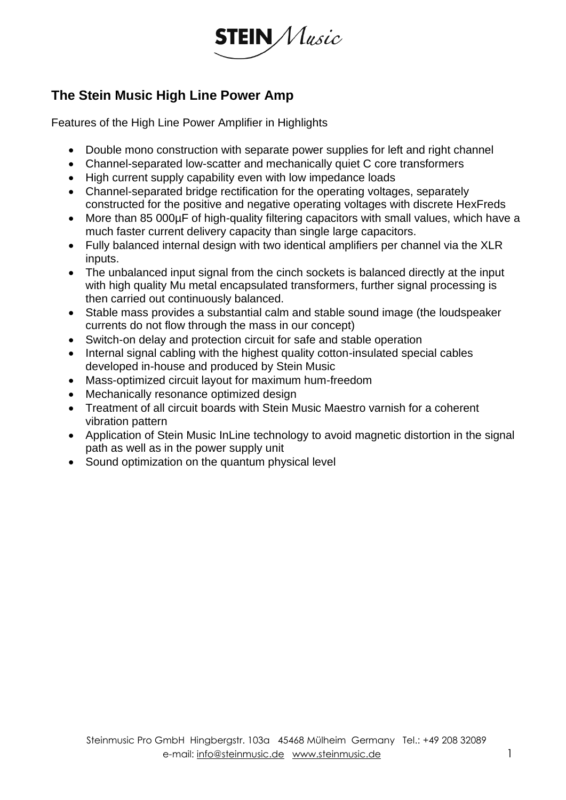

## **The Stein Music High Line Power Amp**

Features of the High Line Power Amplifier in Highlights

- Double mono construction with separate power supplies for left and right channel
- Channel-separated low-scatter and mechanically quiet C core transformers
- High current supply capability even with low impedance loads
- Channel-separated bridge rectification for the operating voltages, separately constructed for the positive and negative operating voltages with discrete HexFreds
- More than 85 000µF of high-quality filtering capacitors with small values, which have a much faster current delivery capacity than single large capacitors.
- Fully balanced internal design with two identical amplifiers per channel via the XLR inputs.
- The unbalanced input signal from the cinch sockets is balanced directly at the input with high quality Mu metal encapsulated transformers, further signal processing is then carried out continuously balanced.
- Stable mass provides a substantial calm and stable sound image (the loudspeaker currents do not flow through the mass in our concept)
- Switch-on delay and protection circuit for safe and stable operation
- Internal signal cabling with the highest quality cotton-insulated special cables developed in-house and produced by Stein Music
- Mass-optimized circuit layout for maximum hum-freedom
- Mechanically resonance optimized design
- Treatment of all circuit boards with Stein Music Maestro varnish for a coherent vibration pattern
- Application of Stein Music InLine technology to avoid magnetic distortion in the signal path as well as in the power supply unit
- Sound optimization on the quantum physical level